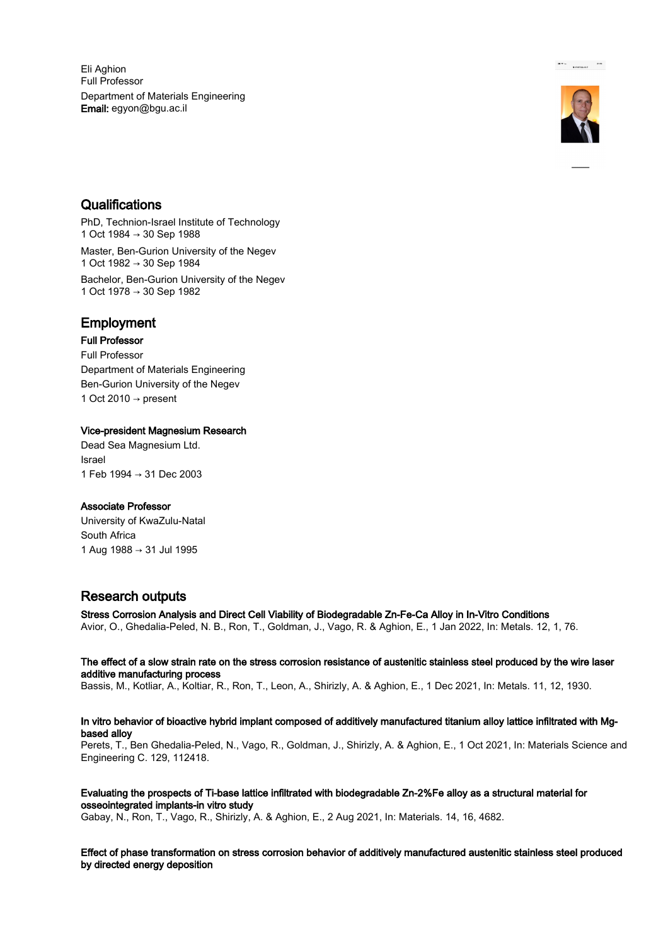Eli Aghion Full Professor Department of Materials Engineering Email: egyon@bgu.ac.il



 $\begin{tabular}{ll} $\bullet$ & $\ast$ & \ldots$ \\ & \multicolumn{3}{l}{\bullet}$ & \multicolumn{3}{l}{\bullet} & \multicolumn{3}{l}{\bullet} & \multicolumn{3}{l}{\bullet} \\ & $\bullet$ & $\bullet$ & $\bullet$ & \multicolumn{3}{l}{\bullet} & \multicolumn{3}{l}{\bullet} \\ & $\bullet$ & $\bullet$ & $\bullet$ & \multicolumn{3}{l}{\bullet} & \multicolumn{3}{l}{\bullet} \\ & $\bullet$ & $\bullet$ & $\bullet$ & \multicolumn{3}{l}{\bullet} & \multicolumn{3}{l}{\bullet} \\ \end{tabular}$ 

### **Qualifications**

PhD, Technion-Israel Institute of Technology 1 Oct 1984 → 30 Sep 1988 Master, Ben-Gurion University of the Negev 1 Oct 1982 → 30 Sep 1984 Bachelor, Ben-Gurion University of the Negev 1 Oct 1978 → 30 Sep 1982

### Employment

Full Professor Full Professor Department of Materials Engineering Ben-Gurion University of the Negev 1 Oct 2010  $\rightarrow$  present

#### Vice-president Magnesium Research

Dead Sea Magnesium Ltd. Israel 1 Feb 1994 → 31 Dec 2003

#### Associate Professor

University of KwaZulu-Natal South Africa 1 Aug 1988 → 31 Jul 1995

# Research outputs

Stress Corrosion Analysis and Direct Cell Viability of Biodegradable Zn-Fe-Ca Alloy in In-Vitro Conditions Avior, O., Ghedalia-Peled, N. B., Ron, T., Goldman, J., Vago, R. & Aghion, E., 1 Jan 2022, In: Metals. 12, 1, 76.

The effect of a slow strain rate on the stress corrosion resistance of austenitic stainless steel produced by the wire laser additive manufacturing process

Bassis, M., Kotliar, A., Koltiar, R., Ron, T., Leon, A., Shirizly, A. & Aghion, E., 1 Dec 2021, In: Metals. 11, 12, 1930.

#### In vitro behavior of bioactive hybrid implant composed of additively manufactured titanium alloy lattice infiltrated with Mgbased alloy

Perets, T., Ben Ghedalia-Peled, N., Vago, R., Goldman, J., Shirizly, A. & Aghion, E., 1 Oct 2021, In: Materials Science and Engineering C. 129, 112418.

Evaluating the prospects of Ti-base lattice infiltrated with biodegradable Zn-2%Fe alloy as a structural material for osseointegrated implants-in vitro study

Gabay, N., Ron, T., Vago, R., Shirizly, A. & Aghion, E., 2 Aug 2021, In: Materials. 14, 16, 4682.

Effect of phase transformation on stress corrosion behavior of additively manufactured austenitic stainless steel produced by directed energy deposition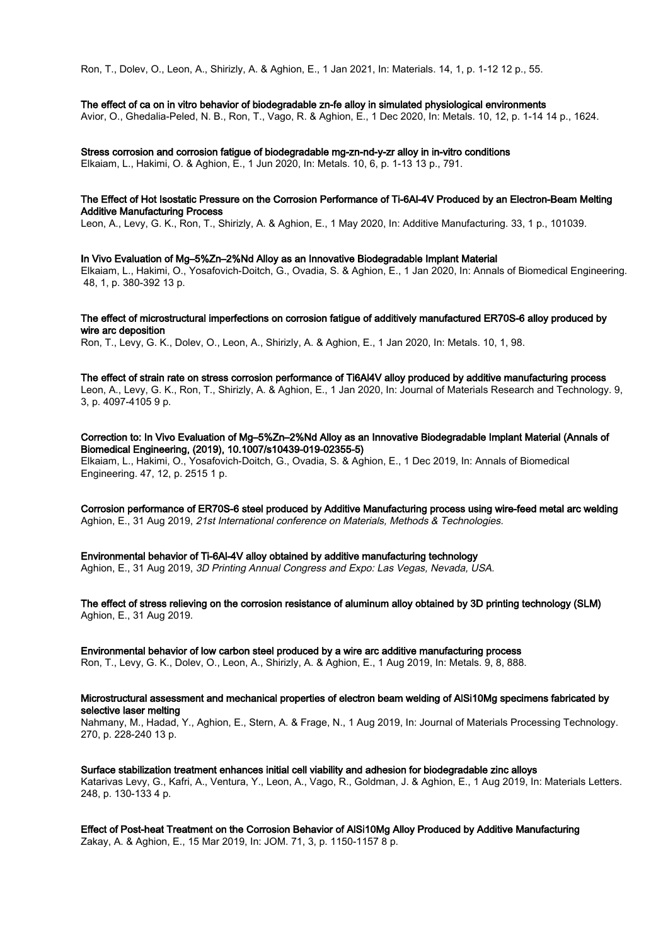Ron, T., Dolev, O., Leon, A., Shirizly, A. & Aghion, E., 1 Jan 2021, In: Materials. 14, 1, p. 1-12 12 p., 55.

#### The effect of ca on in vitro behavior of biodegradable zn-fe alloy in simulated physiological environments

Avior, O., Ghedalia-Peled, N. B., Ron, T., Vago, R. & Aghion, E., 1 Dec 2020, In: Metals. 10, 12, p. 1-14 14 p., 1624.

Stress corrosion and corrosion fatigue of biodegradable mg-zn-nd-y-zr alloy in in-vitro conditions

Elkaiam, L., Hakimi, O. & Aghion, E., 1 Jun 2020, In: Metals. 10, 6, p. 1-13 13 p., 791.

#### The Effect of Hot Isostatic Pressure on the Corrosion Performance of Ti-6Al-4V Produced by an Electron-Beam Melting Additive Manufacturing Process

Leon, A., Levy, G. K., Ron, T., Shirizly, A. & Aghion, E., 1 May 2020, In: Additive Manufacturing. 33, 1 p., 101039.

In Vivo Evaluation of Mg–5%Zn–2%Nd Alloy as an Innovative Biodegradable Implant Material Elkaiam, L., Hakimi, O., Yosafovich-Doitch, G., Ovadia, S. & Aghion, E., 1 Jan 2020, In: Annals of Biomedical Engineering. 48, 1, p. 380-392 13 p.

The effect of microstructural imperfections on corrosion fatigue of additively manufactured ER70S-6 alloy produced by wire arc deposition

Ron, T., Levy, G. K., Dolev, O., Leon, A., Shirizly, A. & Aghion, E., 1 Jan 2020, In: Metals. 10, 1, 98.

The effect of strain rate on stress corrosion performance of Ti6Al4V alloy produced by additive manufacturing process Leon, A., Levy, G. K., Ron, T., Shirizly, A. & Aghion, E., 1 Jan 2020, In: Journal of Materials Research and Technology. 9, 3, p. 4097-4105 9 p.

Correction to: In Vivo Evaluation of Mg–5%Zn–2%Nd Alloy as an Innovative Biodegradable Implant Material (Annals of Biomedical Engineering, (2019), 10.1007/s10439-019-02355-5) Elkaiam, L., Hakimi, O., Yosafovich-Doitch, G., Ovadia, S. & Aghion, E., 1 Dec 2019, In: Annals of Biomedical Engineering. 47, 12, p. 2515 1 p.

Corrosion performance of ER70S-6 steel produced by Additive Manufacturing process using wire-feed metal arc welding Aghion, E., 31 Aug 2019, 21st International conference on Materials, Methods & Technologies.

Environmental behavior of Ti-6Al-4V alloy obtained by additive manufacturing technology

Aghion, E., 31 Aug 2019, 3D Printing Annual Congress and Expo: Las Vegas, Nevada, USA.

The effect of stress relieving on the corrosion resistance of aluminum alloy obtained by 3D printing technology (SLM) Aghion, E., 31 Aug 2019.

#### Environmental behavior of low carbon steel produced by a wire arc additive manufacturing process

Ron, T., Levy, G. K., Dolev, O., Leon, A., Shirizly, A. & Aghion, E., 1 Aug 2019, In: Metals. 9, 8, 888.

#### Microstructural assessment and mechanical properties of electron beam welding of AlSi10Mg specimens fabricated by selective laser melting

Nahmany, M., Hadad, Y., Aghion, E., Stern, A. & Frage, N., 1 Aug 2019, In: Journal of Materials Processing Technology. 270, p. 228-240 13 p.

Surface stabilization treatment enhances initial cell viability and adhesion for biodegradable zinc alloys Katarivas Levy, G., Kafri, A., Ventura, Y., Leon, A., Vago, R., Goldman, J. & Aghion, E., 1 Aug 2019, In: Materials Letters. 248, p. 130-133 4 p.

Effect of Post-heat Treatment on the Corrosion Behavior of AlSi10Mg Alloy Produced by Additive Manufacturing Zakay, A. & Aghion, E., 15 Mar 2019, In: JOM. 71, 3, p. 1150-1157 8 p.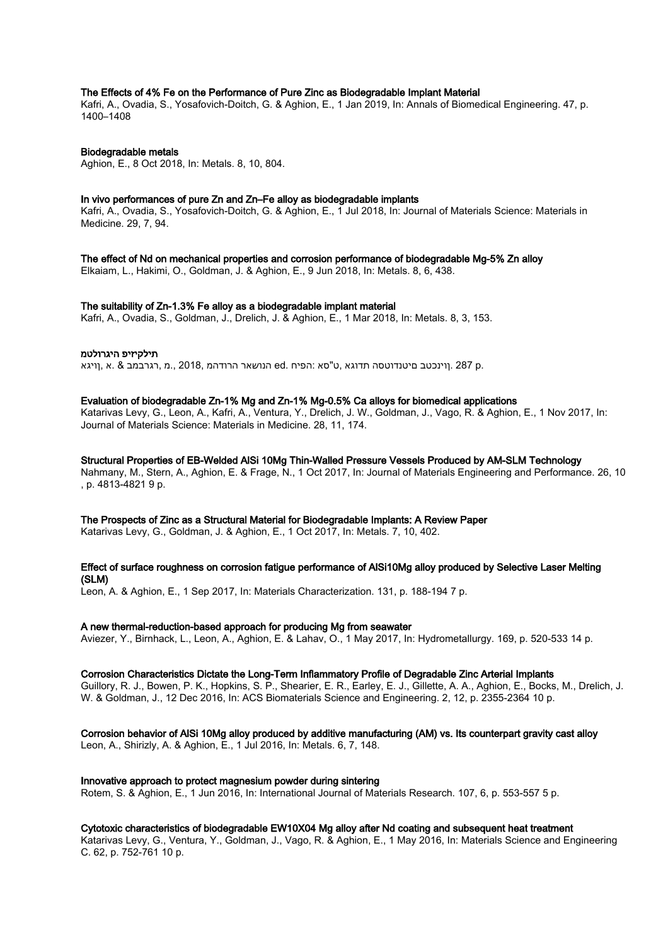#### The Effects of 4% Fe on the Performance of Pure Zinc as Biodegradable Implant Material

Kafri, A., Ovadia, S., Yosafovich-Doitch, G. & Aghion, E., 1 Jan 2019, In: Annals of Biomedical Engineering. 47, p. 1400–1408

#### Biodegradable metals

Aghion, E., 8 Oct 2018, In: Metals. 8, 10, 804.

#### In vivo performances of pure Zn and Zn–Fe alloy as biodegradable implants

Kafri, A., Ovadia, S., Yosafovich-Doitch, G. & Aghion, E., 1 Jul 2018, In: Journal of Materials Science: Materials in Medicine. 29, 7, 94.

The effect of Nd on mechanical properties and corrosion performance of biodegradable Mg-5% Zn alloy

Elkaiam, L., Hakimi, O., Goldman, J. & Aghion, E., 9 Jun 2018, In: Metals. 8, 6, 438.

#### The suitability of Zn-1.3% Fe alloy as a biodegradable implant material

Kafri, A., Ovadia, S., Goldman, J., Drelich, J. & Aghion, E., 1 Mar 2018, In: Metals. 8, 3, 153.

#### תילקיזיפ היגרולטמ

.p 287 .ןוינכטב םיטנדוטסה תדוגא ,ט"סא :הפיח .ed הנושאר הרודהמ 2018, .,מ ,רגרבמב & .א ,ןויגא

#### Evaluation of biodegradable Zn-1% Mg and Zn-1% Mg-0.5% Ca alloys for biomedical applications

Katarivas Levy, G., Leon, A., Kafri, A., Ventura, Y., Drelich, J. W., Goldman, J., Vago, R. & Aghion, E., 1 Nov 2017, In: Journal of Materials Science: Materials in Medicine. 28, 11, 174.

#### Structural Properties of EB-Welded AlSi 10Mg Thin-Walled Pressure Vessels Produced by AM-SLM Technology

Nahmany, M., Stern, A., Aghion, E. & Frage, N., 1 Oct 2017, In: Journal of Materials Engineering and Performance. 26, 10 , p. 4813-4821 9 p.

#### The Prospects of Zinc as a Structural Material for Biodegradable Implants: A Review Paper

Katarivas Levy, G., Goldman, J. & Aghion, E., 1 Oct 2017, In: Metals. 7, 10, 402.

#### Effect of surface roughness on corrosion fatigue performance of AlSi10Mg alloy produced by Selective Laser Melting (SLM)

Leon, A. & Aghion, E., 1 Sep 2017, In: Materials Characterization. 131, p. 188-194 7 p.

#### A new thermal-reduction-based approach for producing Mg from seawater

Aviezer, Y., Birnhack, L., Leon, A., Aghion, E. & Lahav, O., 1 May 2017, In: Hydrometallurgy. 169, p. 520-533 14 p.

#### Corrosion Characteristics Dictate the Long-Term Inflammatory Profile of Degradable Zinc Arterial Implants

Guillory, R. J., Bowen, P. K., Hopkins, S. P., Shearier, E. R., Earley, E. J., Gillette, A. A., Aghion, E., Bocks, M., Drelich, J. W. & Goldman, J., 12 Dec 2016, In: ACS Biomaterials Science and Engineering. 2, 12, p. 2355-2364 10 p.

#### Corrosion behavior of AlSi 10Mg alloy produced by additive manufacturing (AM) vs. Its counterpart gravity cast alloy Leon, A., Shirizly, A. & Aghion, E., 1 Jul 2016, In: Metals. 6, 7, 148.

#### Innovative approach to protect magnesium powder during sintering

Rotem, S. & Aghion, E., 1 Jun 2016, In: International Journal of Materials Research. 107, 6, p. 553-557 5 p.

#### Cytotoxic characteristics of biodegradable EW10X04 Mg alloy after Nd coating and subsequent heat treatment

Katarivas Levy, G., Ventura, Y., Goldman, J., Vago, R. & Aghion, E., 1 May 2016, In: Materials Science and Engineering C. 62, p. 752-761 10 p.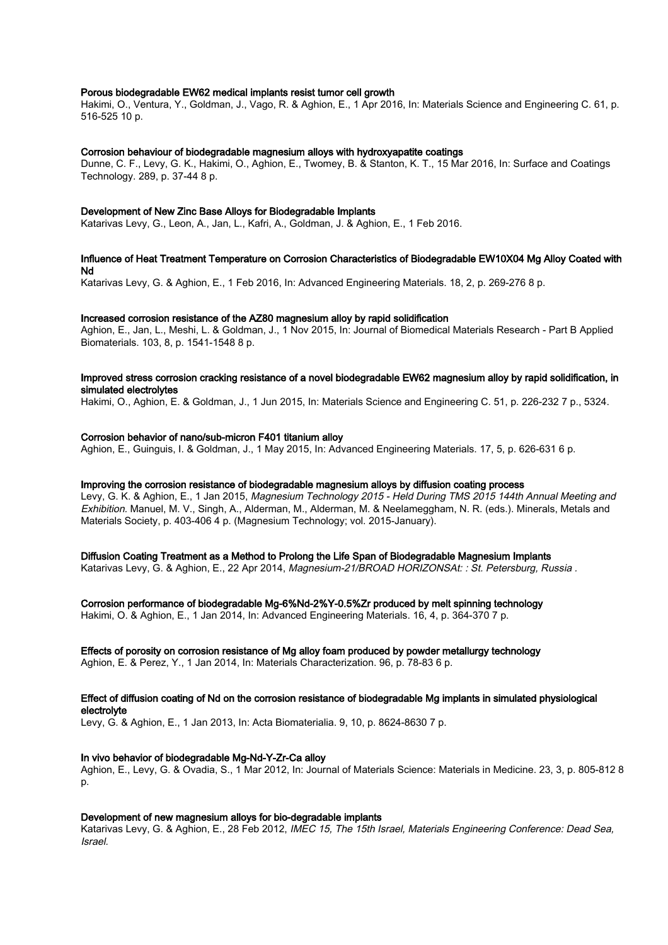#### Porous biodegradable EW62 medical implants resist tumor cell growth

Hakimi, O., Ventura, Y., Goldman, J., Vago, R. & Aghion, E., 1 Apr 2016, In: Materials Science and Engineering C. 61, p. 516-525 10 p.

#### Corrosion behaviour of biodegradable magnesium alloys with hydroxyapatite coatings

Dunne, C. F., Levy, G. K., Hakimi, O., Aghion, E., Twomey, B. & Stanton, K. T., 15 Mar 2016, In: Surface and Coatings Technology. 289, p. 37-44 8 p.

#### Development of New Zinc Base Alloys for Biodegradable Implants

Katarivas Levy, G., Leon, A., Jan, L., Kafri, A., Goldman, J. & Aghion, E., 1 Feb 2016.

#### Influence of Heat Treatment Temperature on Corrosion Characteristics of Biodegradable EW10X04 Mg Alloy Coated with Nd

Katarivas Levy, G. & Aghion, E., 1 Feb 2016, In: Advanced Engineering Materials. 18, 2, p. 269-276 8 p.

#### Increased corrosion resistance of the AZ80 magnesium alloy by rapid solidification

Aghion, E., Jan, L., Meshi, L. & Goldman, J., 1 Nov 2015, In: Journal of Biomedical Materials Research - Part B Applied Biomaterials. 103, 8, p. 1541-1548 8 p.

#### Improved stress corrosion cracking resistance of a novel biodegradable EW62 magnesium alloy by rapid solidification, in simulated electrolytes

Hakimi, O., Aghion, E. & Goldman, J., 1 Jun 2015, In: Materials Science and Engineering C. 51, p. 226-232 7 p., 5324.

#### Corrosion behavior of nano/sub-micron F401 titanium alloy

Aghion, E., Guinguis, I. & Goldman, J., 1 May 2015, In: Advanced Engineering Materials. 17, 5, p. 626-631 6 p.

#### Improving the corrosion resistance of biodegradable magnesium alloys by diffusion coating process

Levy, G. K. & Aghion, E., 1 Jan 2015, Magnesium Technology 2015 - Held During TMS 2015 144th Annual Meeting and Exhibition. Manuel, M. V., Singh, A., Alderman, M., Alderman, M. & Neelameggham, N. R. (eds.). Minerals, Metals and Materials Society, p. 403-406 4 p. (Magnesium Technology; vol. 2015-January).

#### Diffusion Coating Treatment as a Method to Prolong the Life Span of Biodegradable Magnesium Implants

Katarivas Levy, G. & Aghion, E., 22 Apr 2014, Magnesium-21/BROAD HORIZONSAt: : St. Petersburg, Russia .

#### Corrosion performance of biodegradable Mg-6%Nd-2%Y-0.5%Zr produced by melt spinning technology

Hakimi, O. & Aghion, E., 1 Jan 2014, In: Advanced Engineering Materials. 16, 4, p. 364-370 7 p.

#### Effects of porosity on corrosion resistance of Mg alloy foam produced by powder metallurgy technology

Aghion, E. & Perez, Y., 1 Jan 2014, In: Materials Characterization. 96, p. 78-83 6 p.

#### Effect of diffusion coating of Nd on the corrosion resistance of biodegradable Mg implants in simulated physiological electrolyte

Levy, G. & Aghion, E., 1 Jan 2013, In: Acta Biomaterialia. 9, 10, p. 8624-8630 7 p.

#### In vivo behavior of biodegradable Mg-Nd-Y-Zr-Ca alloy

Aghion, E., Levy, G. & Ovadia, S., 1 Mar 2012, In: Journal of Materials Science: Materials in Medicine. 23, 3, p. 805-812 8 p.

#### Development of new magnesium alloys for bio-degradable implants

Katarivas Levy, G. & Aghion, E., 28 Feb 2012, IMEC 15, The 15th Israel, Materials Engineering Conference: Dead Sea, Israel.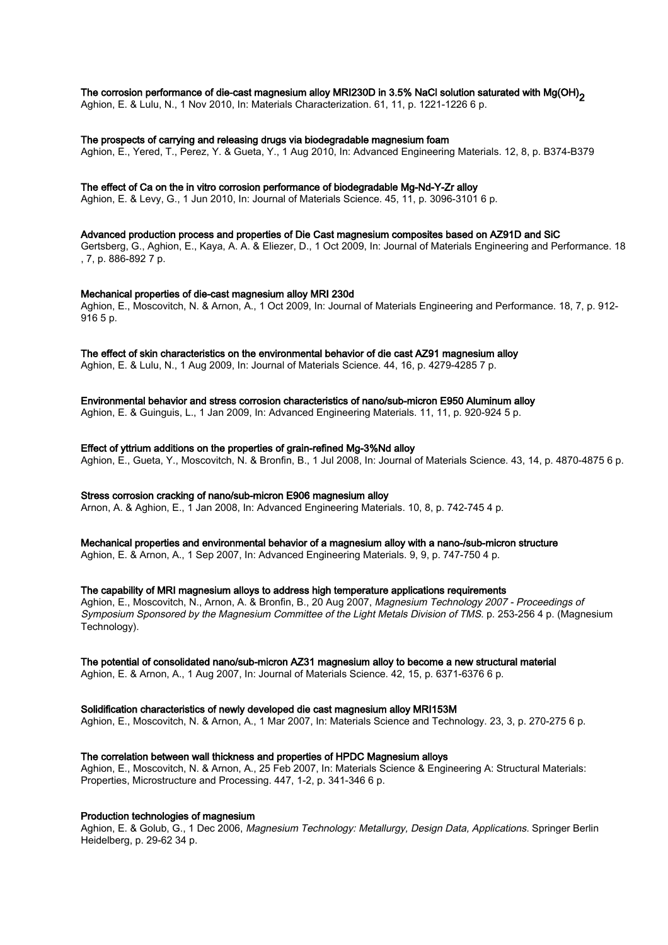### The corrosion performance of die-cast magnesium alloy MRI230D in 3.5% NaCl solution saturated with Mg(OH)<sub>2</sub>

Aghion, E. & Lulu, N., 1 Nov 2010, In: Materials Characterization. 61, 11, p. 1221-1226 6 p.

#### The prospects of carrying and releasing drugs via biodegradable magnesium foam

Aghion, E., Yered, T., Perez, Y. & Gueta, Y., 1 Aug 2010, In: Advanced Engineering Materials. 12, 8, p. B374-B379

### The effect of Ca on the in vitro corrosion performance of biodegradable Mg-Nd-Y-Zr alloy

Aghion, E. & Levy, G., 1 Jun 2010, In: Journal of Materials Science. 45, 11, p. 3096-3101 6 p.

#### Advanced production process and properties of Die Cast magnesium composites based on AZ91D and SiC

Gertsberg, G., Aghion, E., Kaya, A. A. & Eliezer, D., 1 Oct 2009, In: Journal of Materials Engineering and Performance. 18 , 7, p. 886-892 7 p.

#### Mechanical properties of die-cast magnesium alloy MRI 230d

Aghion, E., Moscovitch, N. & Arnon, A., 1 Oct 2009, In: Journal of Materials Engineering and Performance. 18, 7, p. 912- 916 5 p.

#### The effect of skin characteristics on the environmental behavior of die cast AZ91 magnesium alloy

Aghion, E. & Lulu, N., 1 Aug 2009, In: Journal of Materials Science. 44, 16, p. 4279-4285 7 p.

#### Environmental behavior and stress corrosion characteristics of nano/sub-micron E950 Aluminum alloy

Aghion, E. & Guinguis, L., 1 Jan 2009, In: Advanced Engineering Materials. 11, 11, p. 920-924 5 p.

#### Effect of yttrium additions on the properties of grain-refined Mg-3%Nd alloy

Aghion, E., Gueta, Y., Moscovitch, N. & Bronfin, B., 1 Jul 2008, In: Journal of Materials Science. 43, 14, p. 4870-4875 6 p.

#### Stress corrosion cracking of nano/sub-micron E906 magnesium alloy

Arnon, A. & Aghion, E., 1 Jan 2008, In: Advanced Engineering Materials. 10, 8, p. 742-745 4 p.

#### Mechanical properties and environmental behavior of a magnesium alloy with a nano-/sub-micron structure

Aghion, E. & Arnon, A., 1 Sep 2007, In: Advanced Engineering Materials. 9, 9, p. 747-750 4 p.

#### The capability of MRI magnesium alloys to address high temperature applications requirements

Aghion, E., Moscovitch, N., Arnon, A. & Bronfin, B., 20 Aug 2007, Magnesium Technology 2007 - Proceedings of Symposium Sponsored by the Magnesium Committee of the Light Metals Division of TMS. p. 253-256 4 p. (Magnesium Technology).

#### The potential of consolidated nano/sub-micron AZ31 magnesium alloy to become a new structural material

Aghion, E. & Arnon, A., 1 Aug 2007, In: Journal of Materials Science. 42, 15, p. 6371-6376 6 p.

#### Solidification characteristics of newly developed die cast magnesium alloy MRI153M

Aghion, E., Moscovitch, N. & Arnon, A., 1 Mar 2007, In: Materials Science and Technology. 23, 3, p. 270-275 6 p.

#### The correlation between wall thickness and properties of HPDC Magnesium alloys

Aghion, E., Moscovitch, N. & Arnon, A., 25 Feb 2007, In: Materials Science & Engineering A: Structural Materials: Properties, Microstructure and Processing. 447, 1-2, p. 341-346 6 p.

#### Production technologies of magnesium

Aghion, E. & Golub, G., 1 Dec 2006, Magnesium Technology: Metallurgy, Design Data, Applications. Springer Berlin Heidelberg, p. 29-62 34 p.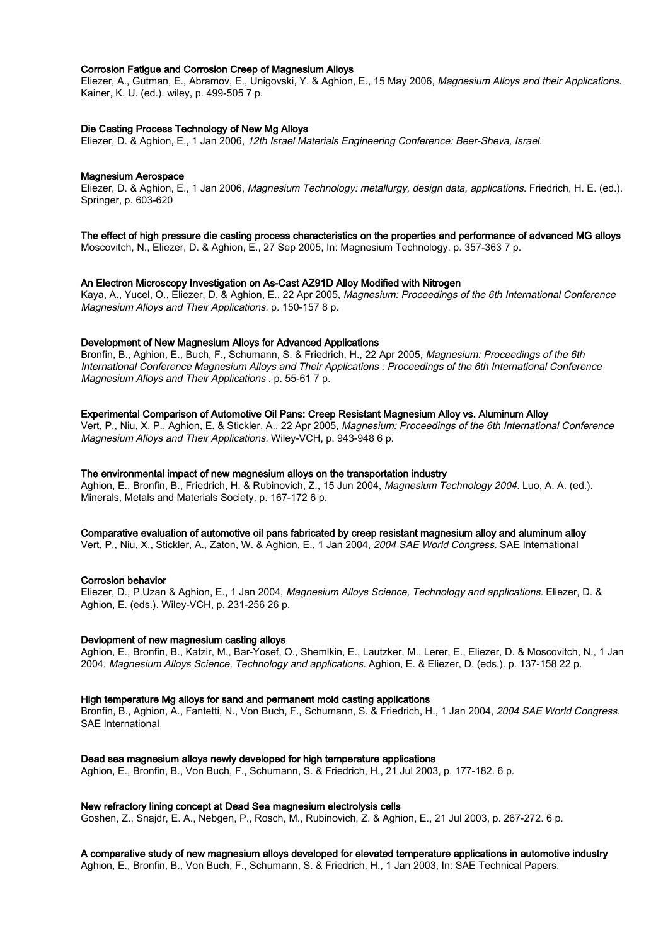#### Corrosion Fatigue and Corrosion Creep of Magnesium Alloys

Eliezer, A., Gutman, E., Abramov, E., Unigovski, Y. & Aghion, E., 15 May 2006, Magnesium Alloys and their Applications. Kainer, K. U. (ed.). wiley, p. 499-505 7 p.

#### Die Casting Process Technology of New Mg Alloys

Eliezer, D. & Aghion, E., 1 Jan 2006, 12th Israel Materials Engineering Conference: Beer-Sheva, Israel.

#### Magnesium Aerospace

Eliezer, D. & Aghion, E., 1 Jan 2006, Magnesium Technology: metallurgy, design data, applications. Friedrich, H. E. (ed.). Springer, p. 603-620

#### The effect of high pressure die casting process characteristics on the properties and performance of advanced MG alloys

Moscovitch, N., Eliezer, D. & Aghion, E., 27 Sep 2005, In: Magnesium Technology. p. 357-363 7 p.

#### An Electron Microscopy Investigation on As‐Cast AZ91D Alloy Modified with Nitrogen

Kaya, A., Yucel, O., Eliezer, D. & Aghion, E., 22 Apr 2005, Magnesium: Proceedings of the 6th International Conference Magnesium Alloys and Their Applications. p. 150-157 8 p.

#### Development of New Magnesium Alloys for Advanced Applications

Bronfin, B., Aghion, E., Buch, F., Schumann, S. & Friedrich, H., 22 Apr 2005, Magnesium: Proceedings of the 6th International Conference Magnesium Alloys and Their Applications : Proceedings of the 6th International Conference Magnesium Alloys and Their Applications . p. 55-61 7 p.

#### Experimental Comparison of Automotive Oil Pans: Creep Resistant Magnesium Alloy vs. Aluminum Alloy

Vert, P., Niu, X. P., Aghion, E. & Stickler, A., 22 Apr 2005, Magnesium: Proceedings of the 6th International Conference Magnesium Alloys and Their Applications. Wiley-VCH, p. 943-948 6 p.

#### The environmental impact of new magnesium alloys on the transportation industry

Aghion, E., Bronfin, B., Friedrich, H. & Rubinovich, Z., 15 Jun 2004, Magnesium Technology 2004. Luo, A. A. (ed.). Minerals, Metals and Materials Society, p. 167-172 6 p.

#### Comparative evaluation of automotive oil pans fabricated by creep resistant magnesium alloy and aluminum alloy

Vert, P., Niu, X., Stickler, A., Zaton, W. & Aghion, E., 1 Jan 2004, 2004 SAE World Congress. SAE International

#### Corrosion behavior

Eliezer, D., P.Uzan & Aghion, E., 1 Jan 2004, Magnesium Alloys Science, Technology and applications. Eliezer, D. & Aghion, E. (eds.). Wiley-VCH, p. 231-256 26 p.

#### Devlopment of new magnesium casting alloys

Aghion, E., Bronfin, B., Katzir, M., Bar-Yosef, O., Shemlkin, E., Lautzker, M., Lerer, E., Eliezer, D. & Moscovitch, N., 1 Jan 2004, Magnesium Alloys Science, Technology and applications. Aghion, E. & Eliezer, D. (eds.). p. 137-158 22 p.

#### High temperature Mg alloys for sand and permanent mold casting applications

Bronfin, B., Aghion, A., Fantetti, N., Von Buch, F., Schumann, S. & Friedrich, H., 1 Jan 2004, 2004 SAE World Congress. SAE International

#### Dead sea magnesium alloys newly developed for high temperature applications

Aghion, E., Bronfin, B., Von Buch, F., Schumann, S. & Friedrich, H., 21 Jul 2003, p. 177-182. 6 p.

#### New refractory lining concept at Dead Sea magnesium electrolysis cells

Goshen, Z., Snajdr, E. A., Nebgen, P., Rosch, M., Rubinovich, Z. & Aghion, E., 21 Jul 2003, p. 267-272. 6 p.

#### A comparative study of new magnesium alloys developed for elevated temperature applications in automotive industry

Aghion, E., Bronfin, B., Von Buch, F., Schumann, S. & Friedrich, H., 1 Jan 2003, In: SAE Technical Papers.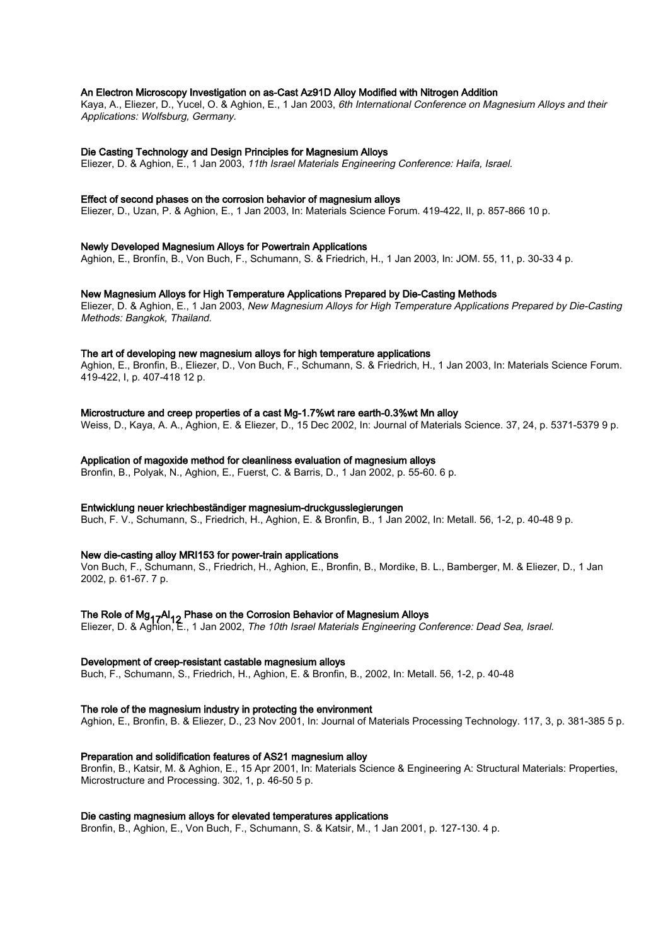#### An Electron Microscopy Investigation on as-Cast Az91D Alloy Modified with Nitrogen Addition

Kaya, A., Eliezer, D., Yucel, O. & Aghion, E., 1 Jan 2003, 6th International Conference on Magnesium Alloys and their Applications: Wolfsburg, Germany.

#### Die Casting Technology and Design Principles for Magnesium Alloys

Eliezer, D. & Aghion, E., 1 Jan 2003, 11th Israel Materials Engineering Conference: Haifa, Israel.

#### Effect of second phases on the corrosion behavior of magnesium alloys

Eliezer, D., Uzan, P. & Aghion, E., 1 Jan 2003, In: Materials Science Forum. 419-422, II, p. 857-866 10 p.

#### Newly Developed Magnesium Alloys for Powertrain Applications

Aghion, E., Bronfín, B., Von Buch, F., Schumann, S. & Friedrich, H., 1 Jan 2003, In: JOM. 55, 11, p. 30-33 4 p.

#### New Magnesium Alloys for High Temperature Applications Prepared by Die-Casting Methods

Eliezer, D. & Aghion, E., 1 Jan 2003, New Magnesium Alloys for High Temperature Applications Prepared by Die-Casting Methods: Bangkok, Thailand.

#### The art of developing new magnesium alloys for high temperature applications

Aghion, E., Bronfin, B., Eliezer, D., Von Buch, F., Schumann, S. & Friedrich, H., 1 Jan 2003, In: Materials Science Forum. 419-422, I, p. 407-418 12 p.

#### Microstructure and creep properties of a cast Mg-1.7%wt rare earth-0.3%wt Mn alloy

Weiss, D., Kaya, A. A., Aghion, E. & Eliezer, D., 15 Dec 2002, In: Journal of Materials Science. 37, 24, p. 5371-5379 9 p.

#### Application of magoxide method for cleanliness evaluation of magnesium alloys

Bronfin, B., Polyak, N., Aghion, E., Fuerst, C. & Barris, D., 1 Jan 2002, p. 55-60. 6 p.

#### Entwicklung neuer kriechbeständiger magnesium-druckgusslegierungen

Buch, F. V., Schumann, S., Friedrich, H., Aghion, E. & Bronfin, B., 1 Jan 2002, In: Metall. 56, 1-2, p. 40-48 9 p.

#### New die-casting alloy MRI153 for power-train applications

Von Buch, F., Schumann, S., Friedrich, H., Aghion, E., Bronfin, B., Mordike, B. L., Bamberger, M. & Eliezer, D., 1 Jan 2002, p. 61-67. 7 p.

### The Role of Mg<sub>17</sub>Al<sub>12</sub> Phase on the Corrosion Behavior of Magnesium Alloys<br>Flistent D. & Although Allen 2000, The 40th Israel Materials Fastines from

Eliezer, D. & Aghion, E., 1 Jan 2002, The 10th Israel Materials Engineering Conference: Dead Sea, Israel.

#### Development of creep-resistant castable magnesium alloys

Buch, F., Schumann, S., Friedrich, H., Aghion, E. & Bronfin, B., 2002, In: Metall. 56, 1-2, p. 40-48

#### The role of the magnesium industry in protecting the environment

Aghion, E., Bronfin, B. & Eliezer, D., 23 Nov 2001, In: Journal of Materials Processing Technology. 117, 3, p. 381-385 5 p.

#### Preparation and solidification features of AS21 magnesium alloy

Bronfin, B., Katsir, M. & Aghion, E., 15 Apr 2001, In: Materials Science & Engineering A: Structural Materials: Properties, Microstructure and Processing. 302, 1, p. 46-50 5 p.

#### Die casting magnesium alloys for elevated temperatures applications

Bronfin, B., Aghion, E., Von Buch, F., Schumann, S. & Katsir, M., 1 Jan 2001, p. 127-130. 4 p.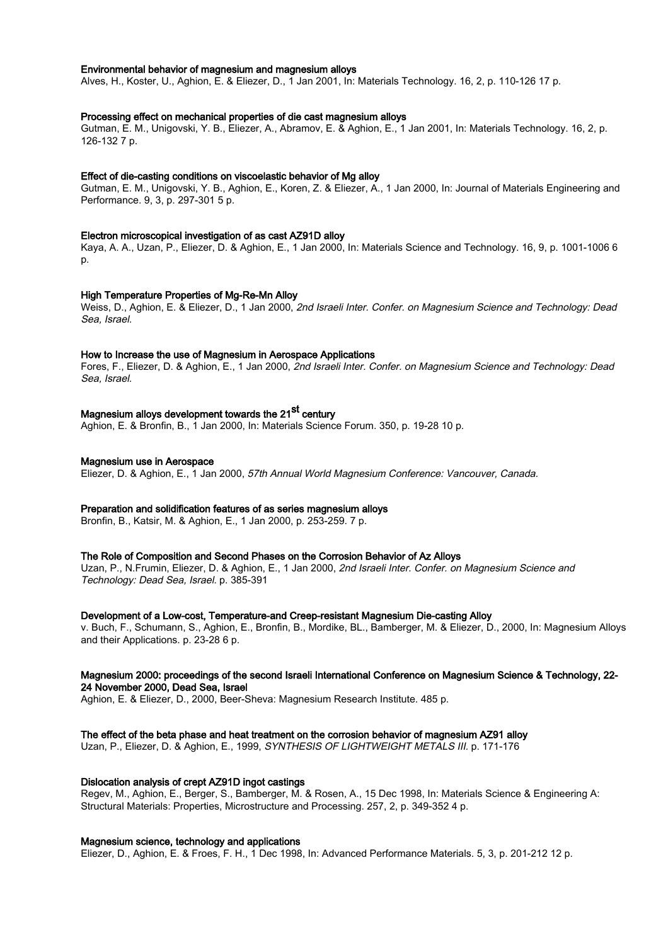#### Environmental behavior of magnesium and magnesium alloys

Alves, H., Koster, U., Aghion, E. & Eliezer, D., 1 Jan 2001, In: Materials Technology. 16, 2, p. 110-126 17 p.

#### Processing effect on mechanical properties of die cast magnesium alloys

Gutman, E. M., Unigovski, Y. B., Eliezer, A., Abramov, E. & Aghion, E., 1 Jan 2001, In: Materials Technology. 16, 2, p. 126-132 7 p.

#### Effect of die-casting conditions on viscoelastic behavior of Mg alloy

Gutman, E. M., Unigovski, Y. B., Aghion, E., Koren, Z. & Eliezer, A., 1 Jan 2000, In: Journal of Materials Engineering and Performance. 9, 3, p. 297-301 5 p.

#### Electron microscopical investigation of as cast AZ91D alloy

Kaya, A. A., Uzan, P., Eliezer, D. & Aghion, E., 1 Jan 2000, In: Materials Science and Technology. 16, 9, p. 1001-1006 6 p.

#### High Temperature Properties of Mg-Re-Mn Alloy

Weiss, D., Aghion, E. & Eliezer, D., 1 Jan 2000, 2nd Israeli Inter. Confer. on Magnesium Science and Technology: Dead Sea, Israel.

#### How to Increase the use of Magnesium in Aerospace Applications

Fores, F., Eliezer, D. & Aghion, E., 1 Jan 2000, 2nd Israeli Inter. Confer. on Magnesium Science and Technology: Dead Sea, Israel.

# Magnesium alloys development towards the 21<sup>st</sup> century

Aghion, E. & Bronfin, B., 1 Jan 2000, In: Materials Science Forum. 350, p. 19-28 10 p.

#### Magnesium use in Aerospace

Eliezer, D. & Aghion, E., 1 Jan 2000, 57th Annual World Magnesium Conference: Vancouver, Canada.

#### Preparation and solidification features of as series magnesium alloys

Bronfin, B., Katsir, M. & Aghion, E., 1 Jan 2000, p. 253-259. 7 p.

#### The Role of Composition and Second Phases on the Corrosion Behavior of Az Alloys

Uzan, P., N.Frumin, Eliezer, D. & Aghion, E., 1 Jan 2000, 2nd Israeli Inter. Confer. on Magnesium Science and Technology: Dead Sea, Israel. p. 385-391

#### Development of a Low-cost, Temperature-and Creep-resistant Magnesium Die-casting Alloy

v. Buch, F., Schumann, S., Aghion, E., Bronfin, B., Mordike, BL., Bamberger, M. & Eliezer, D., 2000, In: Magnesium Alloys and their Applications. p. 23-28 6 p.

#### Magnesium 2000: proceedings of the second Israeli International Conference on Magnesium Science & Technology, 22- 24 November 2000, Dead Sea, Israel

Aghion, E. & Eliezer, D., 2000, Beer-Sheva: Magnesium Research Institute. 485 p.

#### The effect of the beta phase and heat treatment on the corrosion behavior of magnesium AZ91 alloy

Uzan, P., Eliezer, D. & Aghion, E., 1999, SYNTHESIS OF LIGHTWEIGHT METALS III. p. 171-176

#### Dislocation analysis of crept AZ91D ingot castings

Regev, M., Aghion, E., Berger, S., Bamberger, M. & Rosen, A., 15 Dec 1998, In: Materials Science & Engineering A: Structural Materials: Properties, Microstructure and Processing. 257, 2, p. 349-352 4 p.

#### Magnesium science, technology and applications

Eliezer, D., Aghion, E. & Froes, F. H., 1 Dec 1998, In: Advanced Performance Materials. 5, 3, p. 201-212 12 p.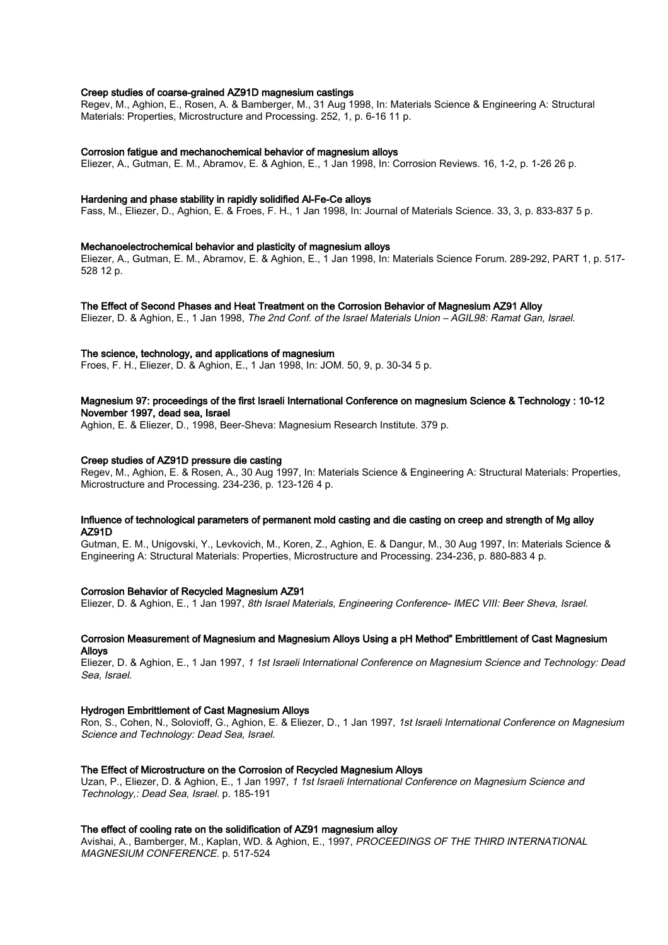#### Creep studies of coarse-grained AZ91D magnesium castings

Regev, M., Aghion, E., Rosen, A. & Bamberger, M., 31 Aug 1998, In: Materials Science & Engineering A: Structural Materials: Properties, Microstructure and Processing. 252, 1, p. 6-16 11 p.

#### Corrosion fatigue and mechanochemical behavior of magnesium alloys

Eliezer, A., Gutman, E. M., Abramov, E. & Aghion, E., 1 Jan 1998, In: Corrosion Reviews. 16, 1-2, p. 1-26 26 p.

#### Hardening and phase stability in rapidly solidified Al-Fe-Ce alloys

Fass, M., Eliezer, D., Aghion, E. & Froes, F. H., 1 Jan 1998, In: Journal of Materials Science. 33, 3, p. 833-837 5 p.

#### Mechanoelectrochemical behavior and plasticity of magnesium alloys

Eliezer, A., Gutman, E. M., Abramov, E. & Aghion, E., 1 Jan 1998, In: Materials Science Forum. 289-292, PART 1, p. 517- 528 12 p.

#### The Effect of Second Phases and Heat Treatment on the Corrosion Behavior of Magnesium AZ91 Alloy

Eliezer, D. & Aghion, E., 1 Jan 1998, The 2nd Conf. of the Israel Materials Union – AGIL98: Ramat Gan, Israel.

#### The science, technology, and applications of magnesium

Froes, F. H., Eliezer, D. & Aghion, E., 1 Jan 1998, In: JOM. 50, 9, p. 30-34 5 p.

#### Magnesium 97: proceedings of the first Israeli International Conference on magnesium Science & Technology : 10-12 November 1997, dead sea, Israel

Aghion, E. & Eliezer, D., 1998, Beer-Sheva: Magnesium Research Institute. 379 p.

#### Creep studies of AZ91D pressure die casting

Regev, M., Aghion, E. & Rosen, A., 30 Aug 1997, In: Materials Science & Engineering A: Structural Materials: Properties, Microstructure and Processing. 234-236, p. 123-126 4 p.

#### Influence of technological parameters of permanent mold casting and die casting on creep and strength of Mg alloy AZ91D

Gutman, E. M., Unigovski, Y., Levkovich, M., Koren, Z., Aghion, E. & Dangur, M., 30 Aug 1997, In: Materials Science & Engineering A: Structural Materials: Properties, Microstructure and Processing. 234-236, p. 880-883 4 p.

#### Corrosion Behavior of Recycled Magnesium AZ91

Eliezer, D. & Aghion, E., 1 Jan 1997, 8th Israel Materials, Engineering Conference- IMEC VIII: Beer Sheva, Israel.

#### Corrosion Measurement of Magnesium and Magnesium Alloys Using a pH Method" Embrittlement of Cast Magnesium **Alloys**

Eliezer, D. & Aghion, E., 1 Jan 1997, 1 1st Israeli International Conference on Magnesium Science and Technology: Dead Sea, Israel.

#### Hydrogen Embrittlement of Cast Magnesium Alloys

Ron, S., Cohen, N., Solovioff, G., Aghion, E. & Eliezer, D., 1 Jan 1997, 1st Israeli International Conference on Magnesium Science and Technology: Dead Sea, Israel.

#### The Effect of Microstructure on the Corrosion of Recycled Magnesium Alloys

Uzan, P., Eliezer, D. & Aghion, E., 1 Jan 1997, 1 1st Israeli International Conference on Magnesium Science and Technology,: Dead Sea, Israel. p. 185-191

#### The effect of cooling rate on the solidification of AZ91 magnesium alloy

Avishai, A., Bamberger, M., Kaplan, WD. & Aghion, E., 1997, PROCEEDINGS OF THE THIRD INTERNATIONAL MAGNESIUM CONFERENCE. p. 517-524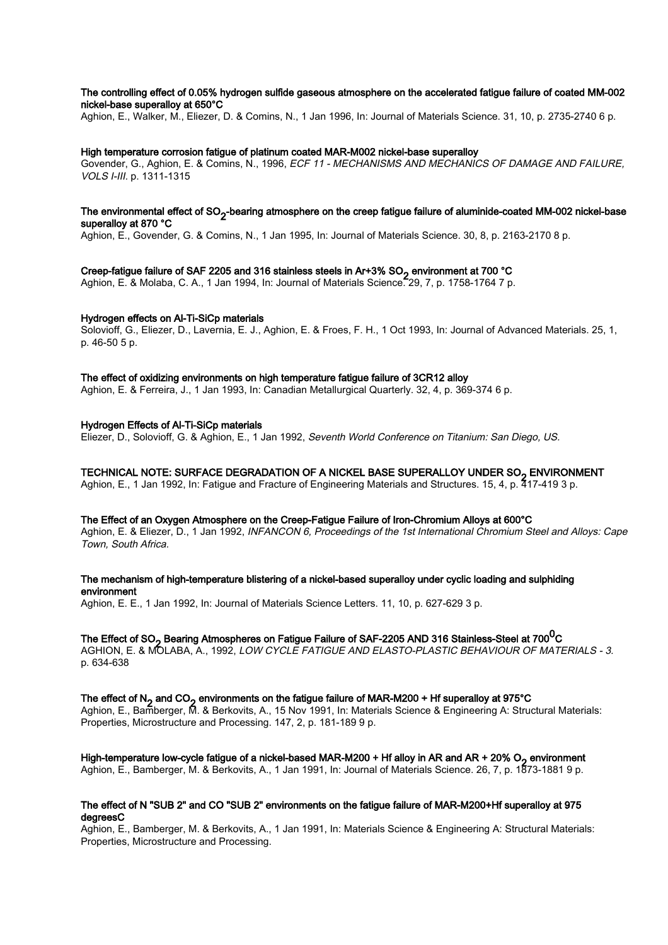#### The controlling effect of 0.05% hydrogen sulfide gaseous atmosphere on the accelerated fatigue failure of coated MM-002 nickel-base superalloy at 650°C

Aghion, E., Walker, M., Eliezer, D. & Comins, N., 1 Jan 1996, In: Journal of Materials Science. 31, 10, p. 2735-2740 6 p.

#### High temperature corrosion fatigue of platinum coated MAR-M002 nickel-base superalloy

Govender, G., Aghion, E. & Comins, N., 1996, ECF 11 - MECHANISMS AND MECHANICS OF DAMAGE AND FAILURE, VOLS I-III. p. 1311-1315

#### The environmental effect of SO2 -bearing atmosphere on the creep fatigue failure of aluminide-coated MM-002 nickel-base superalloy at 870 °C

Aghion, E., Govender, G. & Comins, N., 1 Jan 1995, In: Journal of Materials Science. 30, 8, p. 2163-2170 8 p.

## Creep-fatigue failure of SAF 2205 and 316 stainless steels in Ar+3% SO<sub>2</sub> environment at 700 °C<br>Arthur 5, 8 Malalas C.A. 4 Jan 4994 list laureal of Matariala Science 299, 7 m 4759,4764 7 m

Aghion, E. & Molaba, C. A., 1 Jan 1994, In: Journal of Materials Science. 29, 7, p. 1758-1764 7 p.

#### Hydrogen effects on Al-Ti-SiCp materials

Solovioff, G., Eliezer, D., Lavernia, E. J., Aghion, E. & Froes, F. H., 1 Oct 1993, In: Journal of Advanced Materials. 25, 1, p. 46-50 5 p.

#### The effect of oxidizing environments on high temperature fatigue failure of 3CR12 alloy

Aghion, E. & Ferreira, J., 1 Jan 1993, In: Canadian Metallurgical Quarterly. 32, 4, p. 369-374 6 p.

#### Hydrogen Effects of Al-Ti-SiCp materials

Eliezer, D., Solovioff, G. & Aghion, E., 1 Jan 1992, Seventh World Conference on Titanium: San Diego, US.

## TECHNICAL NOTE: SURFACE DEGRADATION OF A NICKEL BASE SUPERALLOY UNDER SO<sub>2</sub> ENVIRONMENT<br>Ashian E. 4, lex 4000, lex Estimus and Enstand of Ensines with Materials and Strutums, 45, 4 m 347, 440,0 m

Aghion, E., 1 Jan 1992, In: Fatigue and Fracture of Engineering Materials and Structures. 15, 4, p. 417-419 3 p.

#### The Effect of an Oxygen Atmosphere on the Creep-Fatigue Failure of Iron-Chromium Alloys at 600°C

Aghion, E. & Eliezer, D., 1 Jan 1992, INFANCON 6, Proceedings of the 1st International Chromium Steel and Alloys: Cape Town, South Africa.

#### The mechanism of high-temperature blistering of a nickel-based superalloy under cyclic loading and sulphiding environment

Aghion, E. E., 1 Jan 1992, In: Journal of Materials Science Letters. 11, 10, p. 627-629 3 p.

# The Effect of SO<sub>2</sub> Bearing Atmospheres on Fatigue Failure of SAF-2205 AND 316 Stainless-Steel at 700<sup>0</sup>C<br>A OUION E LA MOLARA LA COOL LOW OVOLE FATIOUE AND FLASTO DLASTIC DEUALID OF MAT

AGHION, E. & MOLABA, A., 1992, LOW CYCLE FATIGUE AND ELASTO-PLASTIC BEHAVIOUR OF MATERIALS - 3. p. 634-638

### The effect of N2 and CO2 environments on the fatigue failure of MAR-M200 + Hf superalloy at 975°C

Aghion, E., Bamberger, M. & Berkovits, A., 15 Nov 1991, In: Materials Science & Engineering A: Structural Materials: Properties, Microstructure and Processing. 147, 2, p. 181-189 9 p.

### High-temperature low-cycle fatigue of a nickel-based MAR-M200 + Hf alloy in AR and AR + 20% O<sub>2</sub> environment<br>Arthur E. Bambargar M. 8 Barlowitz, A. 4 Jan 4994 Jan Januari of Materials Science, 29, 7, 8, 4**7**72, 4994 S. 8

Aghion, E., Bamberger, M. & Berkovits, A., 1 Jan 1991, In: Journal of Materials Science. 26, 7, p. 1873-1881 9 p.

#### The effect of N "SUB 2" and CO "SUB 2" environments on the fatigue failure of MAR-M200+Hf superalloy at 975 degreesC

Aghion, E., Bamberger, M. & Berkovits, A., 1 Jan 1991, In: Materials Science & Engineering A: Structural Materials: Properties, Microstructure and Processing.